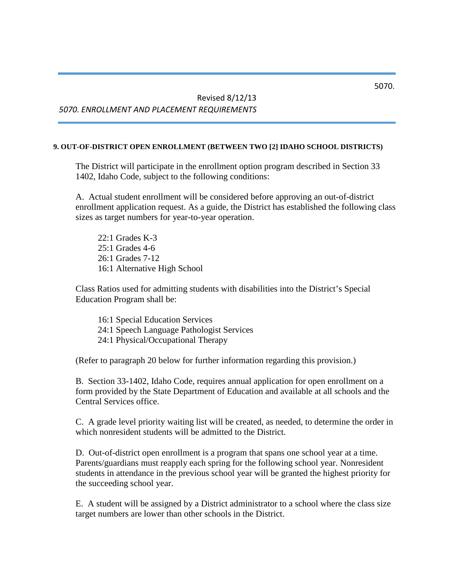# Revised 8/12/13 *5070. ENROLLMENT AND PLACEMENT REQUIREMENTS*

#### **9. OUT-OF-DISTRICT OPEN ENROLLMENT (BETWEEN TWO [2] IDAHO SCHOOL DISTRICTS)**

The District will participate in the enrollment option program described in Section 33 1402, Idaho Code, subject to the following conditions:

A. Actual student enrollment will be considered before approving an out-of-district enrollment application request. As a guide, the District has established the following class sizes as target numbers for year-to-year operation.

22:1 Grades K-3 25:1 Grades 4-6 26:1 Grades 7-12 16:1 Alternative High School

Class Ratios used for admitting students with disabilities into the District's Special Education Program shall be:

16:1 Special Education Services 24:1 Speech Language Pathologist Services 24:1 Physical/Occupational Therapy

(Refer to paragraph 20 below for further information regarding this provision.)

B. Section 33-1402, Idaho Code, requires annual application for open enrollment on a form provided by the State Department of Education and available at all schools and the Central Services office.

C. A grade level priority waiting list will be created, as needed, to determine the order in which nonresident students will be admitted to the District.

D. Out-of-district open enrollment is a program that spans one school year at a time. Parents/guardians must reapply each spring for the following school year. Nonresident students in attendance in the previous school year will be granted the highest priority for the succeeding school year.

E. A student will be assigned by a District administrator to a school where the class size target numbers are lower than other schools in the District.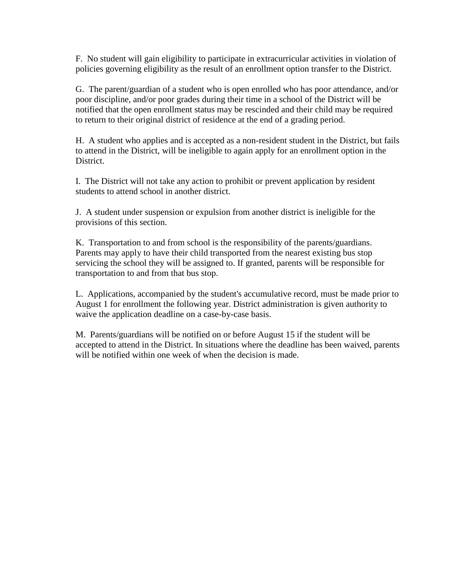F. No student will gain eligibility to participate in extracurricular activities in violation of policies governing eligibility as the result of an enrollment option transfer to the District.

G. The parent/guardian of a student who is open enrolled who has poor attendance, and/or poor discipline, and/or poor grades during their time in a school of the District will be notified that the open enrollment status may be rescinded and their child may be required to return to their original district of residence at the end of a grading period.

H. A student who applies and is accepted as a non-resident student in the District, but fails to attend in the District, will be ineligible to again apply for an enrollment option in the District.

I. The District will not take any action to prohibit or prevent application by resident students to attend school in another district.

J. A student under suspension or expulsion from another district is ineligible for the provisions of this section.

K. Transportation to and from school is the responsibility of the parents/guardians. Parents may apply to have their child transported from the nearest existing bus stop servicing the school they will be assigned to. If granted, parents will be responsible for transportation to and from that bus stop.

L. Applications, accompanied by the student's accumulative record, must be made prior to August 1 for enrollment the following year. District administration is given authority to waive the application deadline on a case-by-case basis.

M. Parents/guardians will be notified on or before August 15 if the student will be accepted to attend in the District. In situations where the deadline has been waived, parents will be notified within one week of when the decision is made.